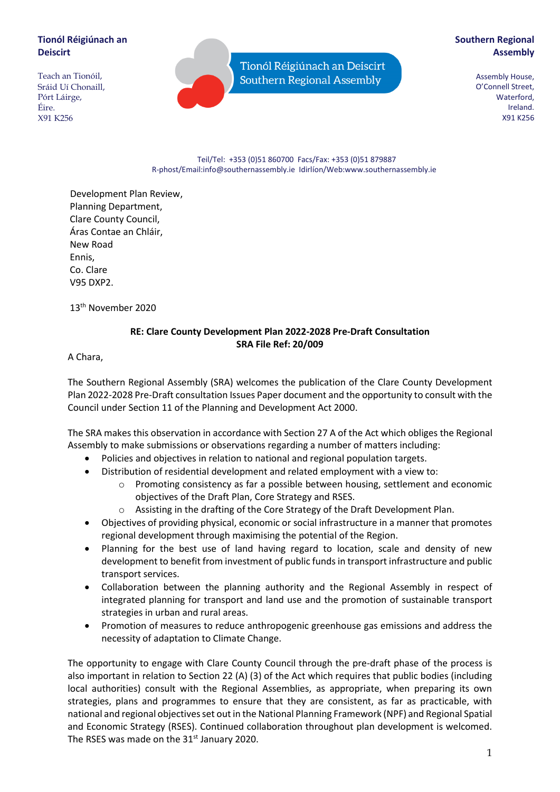# **Tionól Réigiúnach an Deiscirt**

Teach an Tionóil, Sráid Uí Chonaill, Pórt Láirge, Éire. X91 K256

Tionól Réigiúnach an Deiscirt Southern Regional Assembly

# **Southern Regional Assembly**

Assembly House, O'Connell Street, Waterford, Ireland. X91 K256

#### Teil/Tel: +353 (0)51 860700 Facs/Fax: +353 (0)51 879887 R-phost/Email:info@southernassembly.ie Idirlíon/Web:www.southernassembly.ie

Development Plan Review, Planning Department, Clare County Council, Áras Contae an Chláir, New Road Ennis, Co. Clare V95 DXP2.

13th November 2020

# **RE: Clare County Development Plan 2022-2028 Pre-Draft Consultation SRA File Ref: 20/009**

A Chara,

The Southern Regional Assembly (SRA) welcomes the publication of the Clare County Development Plan 2022-2028 Pre-Draft consultation Issues Paper document and the opportunity to consult with the Council under Section 11 of the Planning and Development Act 2000.

The SRA makes this observation in accordance with Section 27 A of the Act which obliges the Regional Assembly to make submissions or observations regarding a number of matters including:

- Policies and objectives in relation to national and regional population targets.
- Distribution of residential development and related employment with a view to:
	- $\circ$  Promoting consistency as far a possible between housing, settlement and economic objectives of the Draft Plan, Core Strategy and RSES.
	- o Assisting in the drafting of the Core Strategy of the Draft Development Plan.
- Objectives of providing physical, economic or social infrastructure in a manner that promotes regional development through maximising the potential of the Region.
- Planning for the best use of land having regard to location, scale and density of new development to benefit from investment of public funds in transport infrastructure and public transport services.
- Collaboration between the planning authority and the Regional Assembly in respect of integrated planning for transport and land use and the promotion of sustainable transport strategies in urban and rural areas.
- Promotion of measures to reduce anthropogenic greenhouse gas emissions and address the necessity of adaptation to Climate Change.

The opportunity to engage with Clare County Council through the pre-draft phase of the process is also important in relation to Section 22 (A) (3) of the Act which requires that public bodies (including local authorities) consult with the Regional Assemblies, as appropriate, when preparing its own strategies, plans and programmes to ensure that they are consistent, as far as practicable, with national and regional objectives set out in the National Planning Framework (NPF) and Regional Spatial and Economic Strategy (RSES). Continued collaboration throughout plan development is welcomed. The RSES was made on the 31<sup>st</sup> January 2020.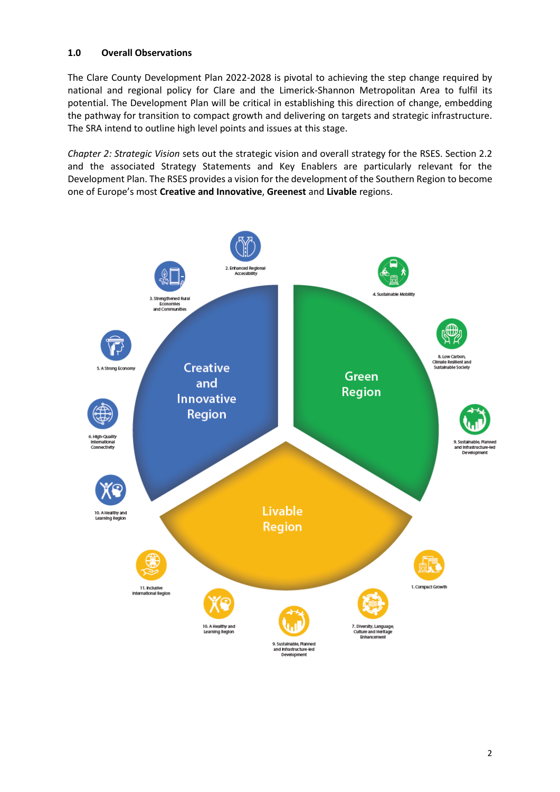## **1.0 Overall Observations**

The Clare County Development Plan 2022-2028 is pivotal to achieving the step change required by national and regional policy for Clare and the Limerick-Shannon Metropolitan Area to fulfil its potential. The Development Plan will be critical in establishing this direction of change, embedding the pathway for transition to compact growth and delivering on targets and strategic infrastructure. The SRA intend to outline high level points and issues at this stage.

*Chapter 2: Strategic Vision* sets out the strategic vision and overall strategy for the RSES. Section 2.2 and the associated Strategy Statements and Key Enablers are particularly relevant for the Development Plan. The RSES provides a vision for the development of the Southern Region to become one of Europe's most **Creative and Innovative**, **Greenest** and **Livable** regions.

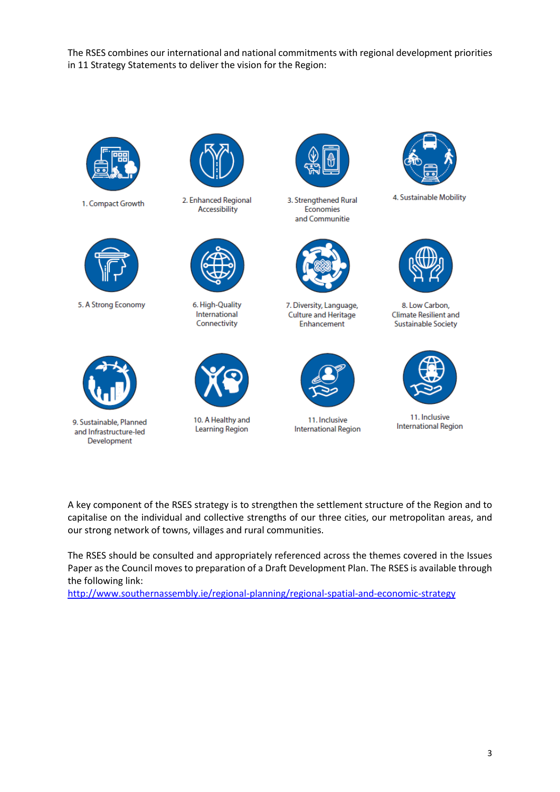The RSES combines our international and national commitments with regional development priorities in 11 Strategy Statements to deliver the vision for the Region:



1. Compact Growth



5. A Strong Economy



9. Sustainable, Planned and Infrastructure-led Development



2. Enhanced Regional Accessibility



6. High-Quality International Connectivity



10. A Healthy and **Learning Region** 



3. Strengthened Rural Economies and Communitie



7. Diversity, Language, Culture and Heritage Enhancement



11. Inclusive **International Region** 



4. Sustainable Mobility



8. Low Carbon, **Climate Resilient and Sustainable Society** 



11. Inclusive **International Region** 

A key component of the RSES strategy is to strengthen the settlement structure of the Region and to capitalise on the individual and collective strengths of our three cities, our metropolitan areas, and our strong network of towns, villages and rural communities.

The RSES should be consulted and appropriately referenced across the themes covered in the Issues Paper as the Council moves to preparation of a Draft Development Plan. The RSES is available through the following link:

<http://www.southernassembly.ie/regional-planning/regional-spatial-and-economic-strategy>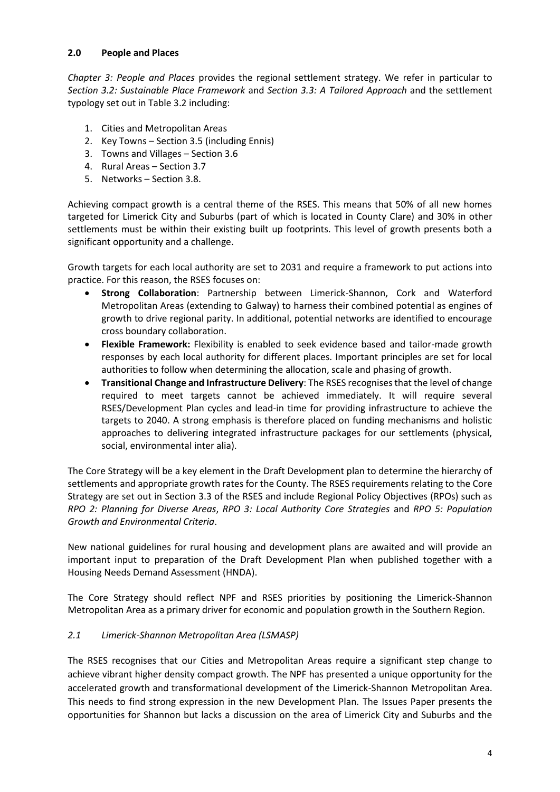### **2.0 People and Places**

*Chapter 3: People and Places* provides the regional settlement strategy. We refer in particular to *Section 3.2: Sustainable Place Framework* and *Section 3.3: A Tailored Approach* and the settlement typology set out in Table 3.2 including:

- 1. Cities and Metropolitan Areas
- 2. Key Towns Section 3.5 (including Ennis)
- 3. Towns and Villages Section 3.6
- 4. Rural Areas Section 3.7
- 5. Networks Section 3.8.

Achieving compact growth is a central theme of the RSES. This means that 50% of all new homes targeted for Limerick City and Suburbs (part of which is located in County Clare) and 30% in other settlements must be within their existing built up footprints. This level of growth presents both a significant opportunity and a challenge.

Growth targets for each local authority are set to 2031 and require a framework to put actions into practice. For this reason, the RSES focuses on:

- **Strong Collaboration**: Partnership between Limerick-Shannon, Cork and Waterford Metropolitan Areas (extending to Galway) to harness their combined potential as engines of growth to drive regional parity. In additional, potential networks are identified to encourage cross boundary collaboration.
- **Flexible Framework:** Flexibility is enabled to seek evidence based and tailor-made growth responses by each local authority for different places. Important principles are set for local authorities to follow when determining the allocation, scale and phasing of growth.
- **Transitional Change and Infrastructure Delivery**: The RSES recognises that the level of change required to meet targets cannot be achieved immediately. It will require several RSES/Development Plan cycles and lead-in time for providing infrastructure to achieve the targets to 2040. A strong emphasis is therefore placed on funding mechanisms and holistic approaches to delivering integrated infrastructure packages for our settlements (physical, social, environmental inter alia).

The Core Strategy will be a key element in the Draft Development plan to determine the hierarchy of settlements and appropriate growth rates for the County. The RSES requirements relating to the Core Strategy are set out in Section 3.3 of the RSES and include Regional Policy Objectives (RPOs) such as *RPO 2: Planning for Diverse Areas*, *RPO 3: Local Authority Core Strategies* and *RPO 5: Population Growth and Environmental Criteria*.

New national guidelines for rural housing and development plans are awaited and will provide an important input to preparation of the Draft Development Plan when published together with a Housing Needs Demand Assessment (HNDA).

The Core Strategy should reflect NPF and RSES priorities by positioning the Limerick-Shannon Metropolitan Area as a primary driver for economic and population growth in the Southern Region.

### *2.1 Limerick-Shannon Metropolitan Area (LSMASP)*

The RSES recognises that our Cities and Metropolitan Areas require a significant step change to achieve vibrant higher density compact growth. The NPF has presented a unique opportunity for the accelerated growth and transformational development of the Limerick-Shannon Metropolitan Area. This needs to find strong expression in the new Development Plan. The Issues Paper presents the opportunities for Shannon but lacks a discussion on the area of Limerick City and Suburbs and the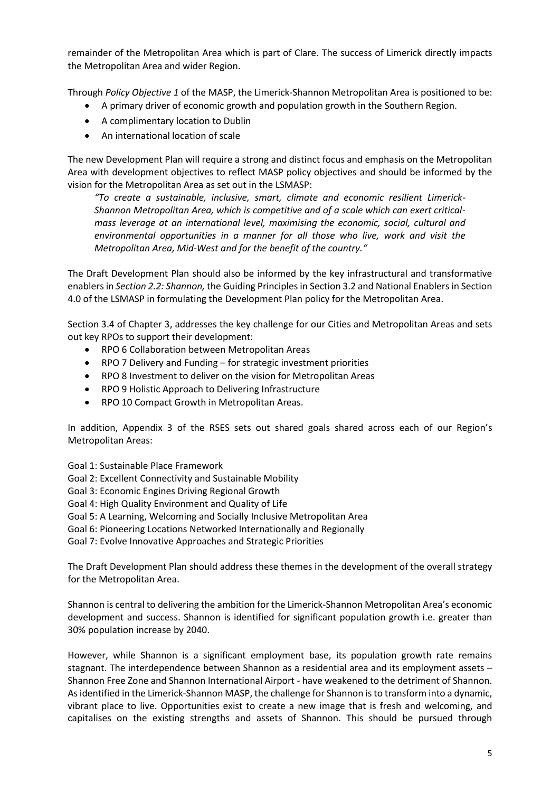remainder of the Metropolitan Area which is part of Clare. The success of Limerick directly impacts the Metropolitan Area and wider Region.

Through *Policy Objective 1* of the MASP, the Limerick-Shannon Metropolitan Area is positioned to be:

- A primary driver of economic growth and population growth in the Southern Region.
- A complimentary location to Dublin
- An international location of scale

The new Development Plan will require a strong and distinct focus and emphasis on the Metropolitan Area with development objectives to reflect MASP policy objectives and should be informed by the vision for the Metropolitan Area as set out in the LSMASP:

*"To create a sustainable, inclusive, smart, climate and economic resilient Limerick-Shannon Metropolitan Area, which is competitive and of a scale which can exert criticalmass leverage at an international level, maximising the economic, social, cultural and environmental opportunities in a manner for all those who live, work and visit the Metropolitan Area, Mid-West and for the benefit of the country."*

The Draft Development Plan should also be informed by the key infrastructural and transformative enablers in *Section 2.2: Shannon,* the Guiding Principles in Section 3.2 and National Enablers in Section 4.0 of the LSMASP in formulating the Development Plan policy for the Metropolitan Area.

Section 3.4 of Chapter 3, addresses the key challenge for our Cities and Metropolitan Areas and sets out key RPOs to support their development:

- RPO 6 Collaboration between Metropolitan Areas
- RPO 7 Delivery and Funding for strategic investment priorities
- RPO 8 Investment to deliver on the vision for Metropolitan Areas
- RPO 9 Holistic Approach to Delivering Infrastructure
- RPO 10 Compact Growth in Metropolitan Areas.

In addition, Appendix 3 of the RSES sets out shared goals shared across each of our Region's Metropolitan Areas:

Goal 1: Sustainable Place Framework

- Goal 2: Excellent Connectivity and Sustainable Mobility
- Goal 3: Economic Engines Driving Regional Growth
- Goal 4: High Quality Environment and Quality of Life
- Goal 5: A Learning, Welcoming and Socially Inclusive Metropolitan Area
- Goal 6: Pioneering Locations Networked Internationally and Regionally
- Goal 7: Evolve Innovative Approaches and Strategic Priorities

The Draft Development Plan should address these themes in the development of the overall strategy for the Metropolitan Area.

Shannon is central to delivering the ambition for the Limerick-Shannon Metropolitan Area's economic development and success. Shannon is identified for significant population growth i.e. greater than 30% population increase by 2040.

However, while Shannon is a significant employment base, its population growth rate remains stagnant. The interdependence between Shannon as a residential area and its employment assets – Shannon Free Zone and Shannon International Airport - have weakened to the detriment of Shannon. As identified in the Limerick-Shannon MASP, the challenge for Shannon is to transform into a dynamic, vibrant place to live. Opportunities exist to create a new image that is fresh and welcoming, and capitalises on the existing strengths and assets of Shannon. This should be pursued through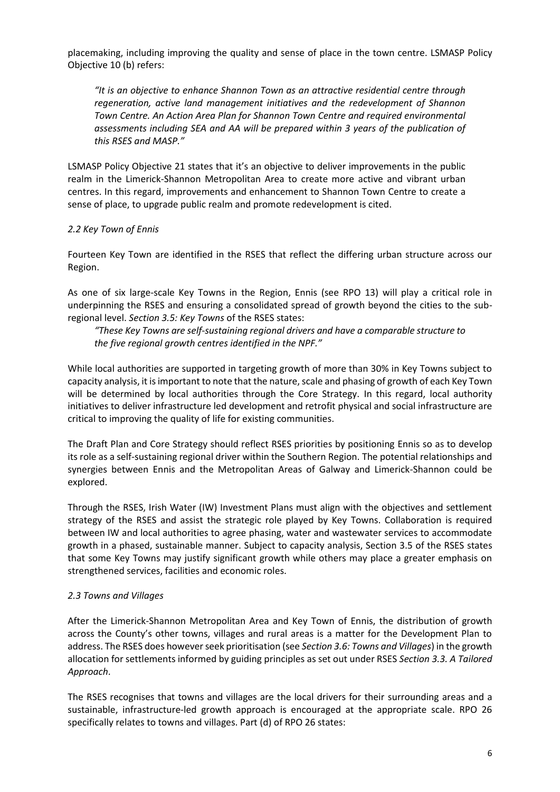placemaking, including improving the quality and sense of place in the town centre. LSMASP Policy Objective 10 (b) refers:

*"It is an objective to enhance Shannon Town as an attractive residential centre through regeneration, active land management initiatives and the redevelopment of Shannon Town Centre. An Action Area Plan for Shannon Town Centre and required environmental assessments including SEA and AA will be prepared within 3 years of the publication of this RSES and MASP."*

LSMASP Policy Objective 21 states that it's an objective to deliver improvements in the public realm in the Limerick-Shannon Metropolitan Area to create more active and vibrant urban centres. In this regard, improvements and enhancement to Shannon Town Centre to create a sense of place, to upgrade public realm and promote redevelopment is cited.

### *2.2 Key Town of Ennis*

Fourteen Key Town are identified in the RSES that reflect the differing urban structure across our Region.

As one of six large-scale Key Towns in the Region, Ennis (see RPO 13) will play a critical role in underpinning the RSES and ensuring a consolidated spread of growth beyond the cities to the subregional level. *Section 3.5: Key Towns* of the RSES states:

*"These Key Towns are self-sustaining regional drivers and have a comparable structure to the five regional growth centres identified in the NPF."*

While local authorities are supported in targeting growth of more than 30% in Key Towns subject to capacity analysis, it is important to note that the nature, scale and phasing of growth of each Key Town will be determined by local authorities through the Core Strategy. In this regard, local authority initiatives to deliver infrastructure led development and retrofit physical and social infrastructure are critical to improving the quality of life for existing communities.

The Draft Plan and Core Strategy should reflect RSES priorities by positioning Ennis so as to develop its role as a self-sustaining regional driver within the Southern Region. The potential relationships and synergies between Ennis and the Metropolitan Areas of Galway and Limerick-Shannon could be explored.

Through the RSES, Irish Water (IW) Investment Plans must align with the objectives and settlement strategy of the RSES and assist the strategic role played by Key Towns. Collaboration is required between IW and local authorities to agree phasing, water and wastewater services to accommodate growth in a phased, sustainable manner. Subject to capacity analysis, Section 3.5 of the RSES states that some Key Towns may justify significant growth while others may place a greater emphasis on strengthened services, facilities and economic roles.

#### *2.3 Towns and Villages*

After the Limerick-Shannon Metropolitan Area and Key Town of Ennis, the distribution of growth across the County's other towns, villages and rural areas is a matter for the Development Plan to address. The RSES does however seek prioritisation (see *Section 3.6: Towns and Villages*) in the growth allocation for settlements informed by guiding principles as set out under RSES *Section 3.3. A Tailored Approach*.

The RSES recognises that towns and villages are the local drivers for their surrounding areas and a sustainable, infrastructure-led growth approach is encouraged at the appropriate scale. RPO 26 specifically relates to towns and villages. Part (d) of RPO 26 states: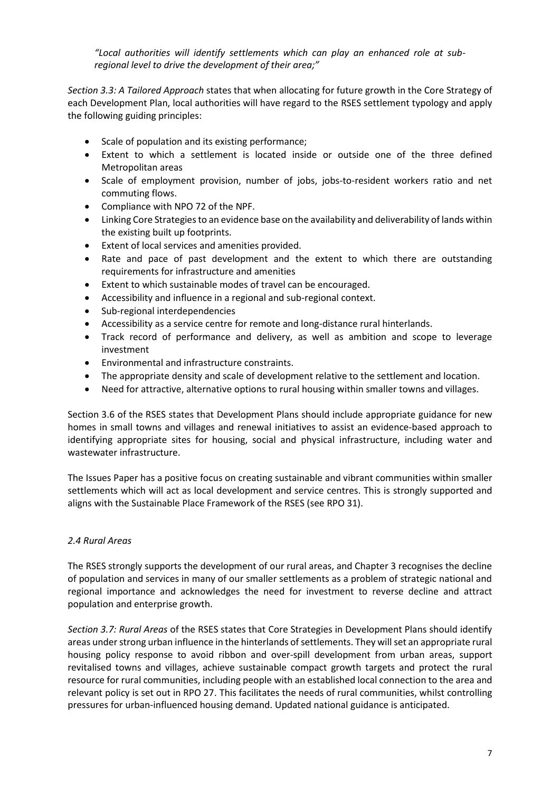*"Local authorities will identify settlements which can play an enhanced role at subregional level to drive the development of their area;"*

*Section 3.3: A Tailored Approach* states that when allocating for future growth in the Core Strategy of each Development Plan, local authorities will have regard to the RSES settlement typology and apply the following guiding principles:

- Scale of population and its existing performance;
- Extent to which a settlement is located inside or outside one of the three defined Metropolitan areas
- Scale of employment provision, number of jobs, jobs-to-resident workers ratio and net commuting flows.
- Compliance with NPO 72 of the NPF.
- Linking Core Strategies to an evidence base on the availability and deliverability of lands within the existing built up footprints.
- Extent of local services and amenities provided.
- Rate and pace of past development and the extent to which there are outstanding requirements for infrastructure and amenities
- Extent to which sustainable modes of travel can be encouraged.
- Accessibility and influence in a regional and sub-regional context.
- Sub-regional interdependencies
- Accessibility as a service centre for remote and long-distance rural hinterlands.
- Track record of performance and delivery, as well as ambition and scope to leverage investment
- Environmental and infrastructure constraints.
- The appropriate density and scale of development relative to the settlement and location.
- Need for attractive, alternative options to rural housing within smaller towns and villages.

Section 3.6 of the RSES states that Development Plans should include appropriate guidance for new homes in small towns and villages and renewal initiatives to assist an evidence-based approach to identifying appropriate sites for housing, social and physical infrastructure, including water and wastewater infrastructure.

The Issues Paper has a positive focus on creating sustainable and vibrant communities within smaller settlements which will act as local development and service centres. This is strongly supported and aligns with the Sustainable Place Framework of the RSES (see RPO 31).

### *2.4 Rural Areas*

The RSES strongly supports the development of our rural areas, and Chapter 3 recognises the decline of population and services in many of our smaller settlements as a problem of strategic national and regional importance and acknowledges the need for investment to reverse decline and attract population and enterprise growth.

*Section 3.7: Rural Areas* of the RSES states that Core Strategies in Development Plans should identify areas under strong urban influence in the hinterlands of settlements. They will set an appropriate rural housing policy response to avoid ribbon and over-spill development from urban areas, support revitalised towns and villages, achieve sustainable compact growth targets and protect the rural resource for rural communities, including people with an established local connection to the area and relevant policy is set out in RPO 27. This facilitates the needs of rural communities, whilst controlling pressures for urban-influenced housing demand. Updated national guidance is anticipated.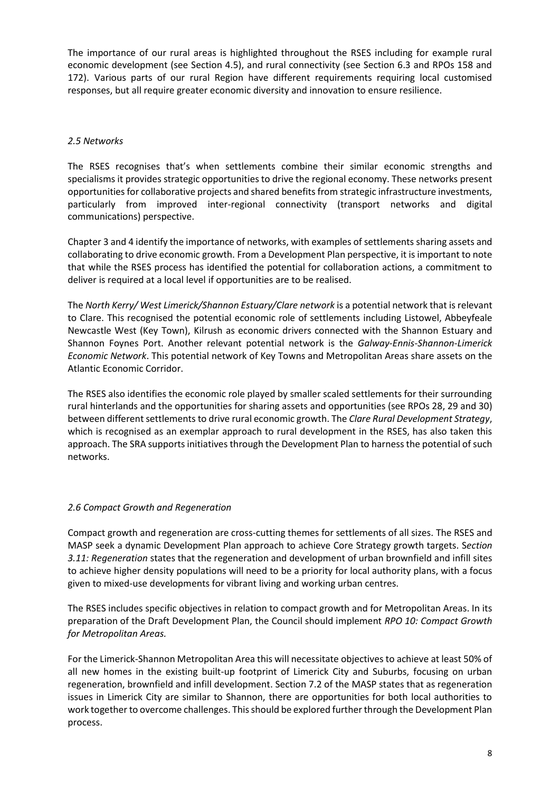The importance of our rural areas is highlighted throughout the RSES including for example rural economic development (see Section 4.5), and rural connectivity (see Section 6.3 and RPOs 158 and 172). Various parts of our rural Region have different requirements requiring local customised responses, but all require greater economic diversity and innovation to ensure resilience.

#### *2.5 Networks*

The RSES recognises that's when settlements combine their similar economic strengths and specialisms it provides strategic opportunities to drive the regional economy. These networks present opportunitiesfor collaborative projects and shared benefits from strategic infrastructure investments, particularly from improved inter-regional connectivity (transport networks and digital communications) perspective.

Chapter 3 and 4 identify the importance of networks, with examples of settlements sharing assets and collaborating to drive economic growth. From a Development Plan perspective, it is important to note that while the RSES process has identified the potential for collaboration actions, a commitment to deliver is required at a local level if opportunities are to be realised.

The *North Kerry/ West Limerick/Shannon Estuary/Clare network* is a potential network that is relevant to Clare. This recognised the potential economic role of settlements including Listowel, Abbeyfeale Newcastle West (Key Town), Kilrush as economic drivers connected with the Shannon Estuary and Shannon Foynes Port. Another relevant potential network is the *Galway-Ennis-Shannon-Limerick Economic Network*. This potential network of Key Towns and Metropolitan Areas share assets on the Atlantic Economic Corridor.

The RSES also identifies the economic role played by smaller scaled settlements for their surrounding rural hinterlands and the opportunities for sharing assets and opportunities (see RPOs 28, 29 and 30) between different settlements to drive rural economic growth. The *Clare Rural Development Strategy*, which is recognised as an exemplar approach to rural development in the RSES, has also taken this approach. The SRA supports initiatives through the Development Plan to harness the potential of such networks.

### *2.6 Compact Growth and Regeneration*

Compact growth and regeneration are cross-cutting themes for settlements of all sizes. The RSES and MASP seek a dynamic Development Plan approach to achieve Core Strategy growth targets. S*ection 3.11: Regeneration* states that the regeneration and development of urban brownfield and infill sites to achieve higher density populations will need to be a priority for local authority plans, with a focus given to mixed-use developments for vibrant living and working urban centres.

The RSES includes specific objectives in relation to compact growth and for Metropolitan Areas. In its preparation of the Draft Development Plan, the Council should implement *RPO 10: Compact Growth for Metropolitan Areas.*

For the Limerick-Shannon Metropolitan Area this will necessitate objectives to achieve at least 50% of all new homes in the existing built-up footprint of Limerick City and Suburbs, focusing on urban regeneration, brownfield and infill development. Section 7.2 of the MASP states that as regeneration issues in Limerick City are similar to Shannon, there are opportunities for both local authorities to work together to overcome challenges. This should be explored further through the Development Plan process.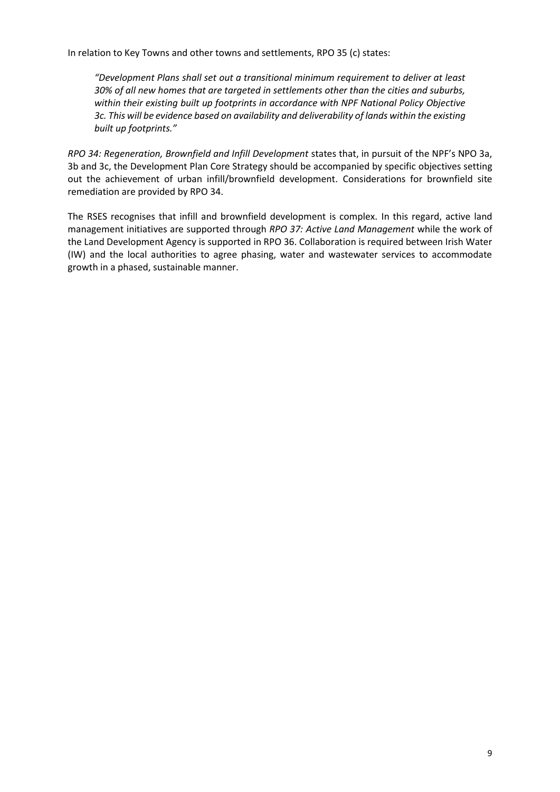In relation to Key Towns and other towns and settlements, RPO 35 (c) states:

*"Development Plans shall set out a transitional minimum requirement to deliver at least 30% of all new homes that are targeted in settlements other than the cities and suburbs, within their existing built up footprints in accordance with NPF National Policy Objective 3c. This will be evidence based on availability and deliverability of lands within the existing built up footprints."*

*RPO 34: Regeneration, Brownfield and Infill Development* states that, in pursuit of the NPF's NPO 3a, 3b and 3c, the Development Plan Core Strategy should be accompanied by specific objectives setting out the achievement of urban infill/brownfield development. Considerations for brownfield site remediation are provided by RPO 34.

The RSES recognises that infill and brownfield development is complex. In this regard, active land management initiatives are supported through *RPO 37: Active Land Management* while the work of the Land Development Agency is supported in RPO 36. Collaboration is required between Irish Water (IW) and the local authorities to agree phasing, water and wastewater services to accommodate growth in a phased, sustainable manner.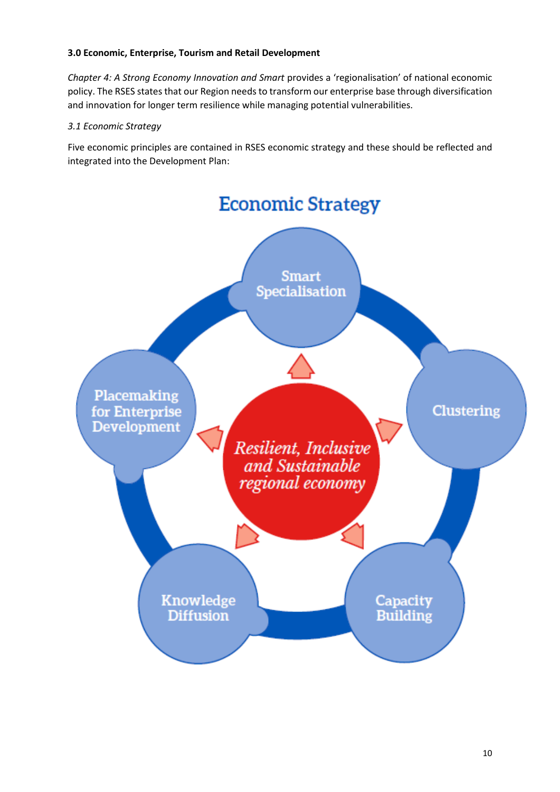### **3.0 Economic, Enterprise, Tourism and Retail Development**

*Chapter 4: A Strong Economy Innovation and Smart* provides a 'regionalisation' of national economic policy. The RSES states that our Region needs to transform our enterprise base through diversification and innovation for longer term resilience while managing potential vulnerabilities.

#### *3.1 Economic Strategy*

Five economic principles are contained in RSES economic strategy and these should be reflected and integrated into the Development Plan:

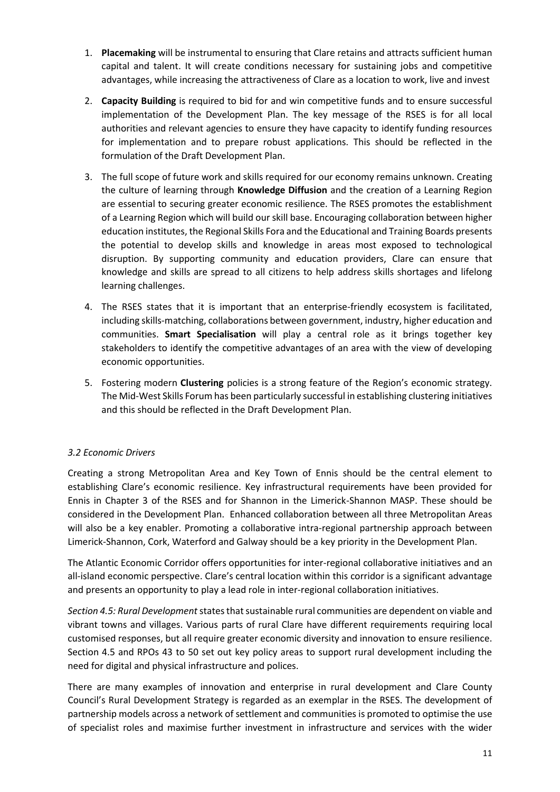- 1. **Placemaking** will be instrumental to ensuring that Clare retains and attracts sufficient human capital and talent. It will create conditions necessary for sustaining jobs and competitive advantages, while increasing the attractiveness of Clare as a location to work, live and invest
- 2. **Capacity Building** is required to bid for and win competitive funds and to ensure successful implementation of the Development Plan. The key message of the RSES is for all local authorities and relevant agencies to ensure they have capacity to identify funding resources for implementation and to prepare robust applications. This should be reflected in the formulation of the Draft Development Plan.
- 3. The full scope of future work and skills required for our economy remains unknown. Creating the culture of learning through **Knowledge Diffusion** and the creation of a Learning Region are essential to securing greater economic resilience. The RSES promotes the establishment of a Learning Region which will build our skill base. Encouraging collaboration between higher education institutes, the Regional Skills Fora and the Educational and Training Boards presents the potential to develop skills and knowledge in areas most exposed to technological disruption. By supporting community and education providers, Clare can ensure that knowledge and skills are spread to all citizens to help address skills shortages and lifelong learning challenges.
- 4. The RSES states that it is important that an enterprise-friendly ecosystem is facilitated, including skills-matching, collaborations between government, industry, higher education and communities. **Smart Specialisation** will play a central role as it brings together key stakeholders to identify the competitive advantages of an area with the view of developing economic opportunities.
- 5. Fostering modern **Clustering** policies is a strong feature of the Region's economic strategy. The Mid-West Skills Forum has been particularly successful in establishing clustering initiatives and this should be reflected in the Draft Development Plan.

# *3.2 Economic Drivers*

Creating a strong Metropolitan Area and Key Town of Ennis should be the central element to establishing Clare's economic resilience. Key infrastructural requirements have been provided for Ennis in Chapter 3 of the RSES and for Shannon in the Limerick-Shannon MASP. These should be considered in the Development Plan. Enhanced collaboration between all three Metropolitan Areas will also be a key enabler. Promoting a collaborative intra-regional partnership approach between Limerick-Shannon, Cork, Waterford and Galway should be a key priority in the Development Plan.

The Atlantic Economic Corridor offers opportunities for inter-regional collaborative initiatives and an all-island economic perspective. Clare's central location within this corridor is a significant advantage and presents an opportunity to play a lead role in inter-regional collaboration initiatives.

*Section 4.5: Rural Development*states that sustainable rural communities are dependent on viable and vibrant towns and villages. Various parts of rural Clare have different requirements requiring local customised responses, but all require greater economic diversity and innovation to ensure resilience. Section 4.5 and RPOs 43 to 50 set out key policy areas to support rural development including the need for digital and physical infrastructure and polices.

There are many examples of innovation and enterprise in rural development and Clare County Council's Rural Development Strategy is regarded as an exemplar in the RSES. The development of partnership models across a network of settlement and communities is promoted to optimise the use of specialist roles and maximise further investment in infrastructure and services with the wider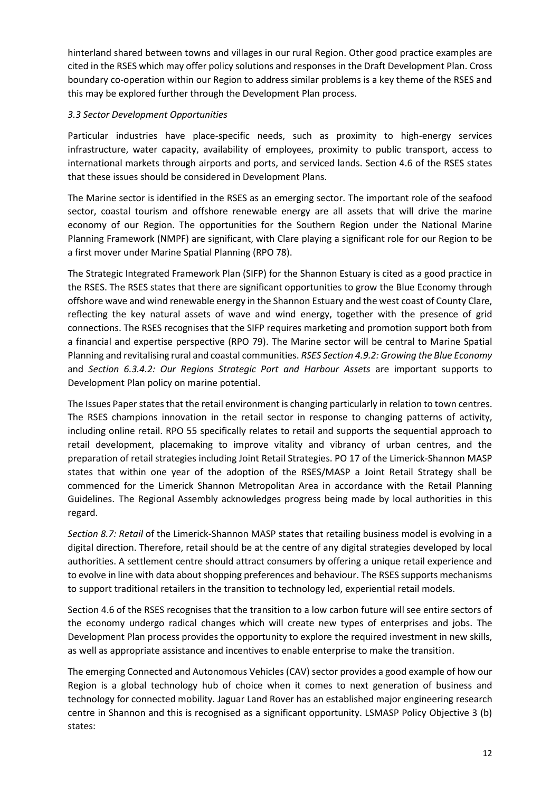hinterland shared between towns and villages in our rural Region. Other good practice examples are cited in the RSES which may offer policy solutions and responses in the Draft Development Plan. Cross boundary co-operation within our Region to address similar problems is a key theme of the RSES and this may be explored further through the Development Plan process.

## *3.3 Sector Development Opportunities*

Particular industries have place-specific needs, such as proximity to high-energy services infrastructure, water capacity, availability of employees, proximity to public transport, access to international markets through airports and ports, and serviced lands. Section 4.6 of the RSES states that these issues should be considered in Development Plans.

The Marine sector is identified in the RSES as an emerging sector. The important role of the seafood sector, coastal tourism and offshore renewable energy are all assets that will drive the marine economy of our Region. The opportunities for the Southern Region under the National Marine Planning Framework (NMPF) are significant, with Clare playing a significant role for our Region to be a first mover under Marine Spatial Planning (RPO 78).

The Strategic Integrated Framework Plan (SIFP) for the Shannon Estuary is cited as a good practice in the RSES. The RSES states that there are significant opportunities to grow the Blue Economy through offshore wave and wind renewable energy in the Shannon Estuary and the west coast of County Clare, reflecting the key natural assets of wave and wind energy, together with the presence of grid connections. The RSES recognises that the SIFP requires marketing and promotion support both from a financial and expertise perspective (RPO 79). The Marine sector will be central to Marine Spatial Planning and revitalising rural and coastal communities. *RSES Section 4.9.2: Growing the Blue Economy* and *Section 6.3.4.2: Our Regions Strategic Port and Harbour Assets* are important supports to Development Plan policy on marine potential.

The Issues Paper states that the retail environment is changing particularly in relation to town centres. The RSES champions innovation in the retail sector in response to changing patterns of activity, including online retail. RPO 55 specifically relates to retail and supports the sequential approach to retail development, placemaking to improve vitality and vibrancy of urban centres, and the preparation of retail strategies including Joint Retail Strategies. PO 17 of the Limerick-Shannon MASP states that within one year of the adoption of the RSES/MASP a Joint Retail Strategy shall be commenced for the Limerick Shannon Metropolitan Area in accordance with the Retail Planning Guidelines. The Regional Assembly acknowledges progress being made by local authorities in this regard.

*Section 8.7: Retail* of the Limerick-Shannon MASP states that retailing business model is evolving in a digital direction. Therefore, retail should be at the centre of any digital strategies developed by local authorities. A settlement centre should attract consumers by offering a unique retail experience and to evolve in line with data about shopping preferences and behaviour. The RSES supports mechanisms to support traditional retailers in the transition to technology led, experiential retail models.

Section 4.6 of the RSES recognises that the transition to a low carbon future will see entire sectors of the economy undergo radical changes which will create new types of enterprises and jobs. The Development Plan process provides the opportunity to explore the required investment in new skills, as well as appropriate assistance and incentives to enable enterprise to make the transition.

The emerging Connected and Autonomous Vehicles (CAV) sector provides a good example of how our Region is a global technology hub of choice when it comes to next generation of business and technology for connected mobility. Jaguar Land Rover has an established major engineering research centre in Shannon and this is recognised as a significant opportunity. LSMASP Policy Objective 3 (b) states: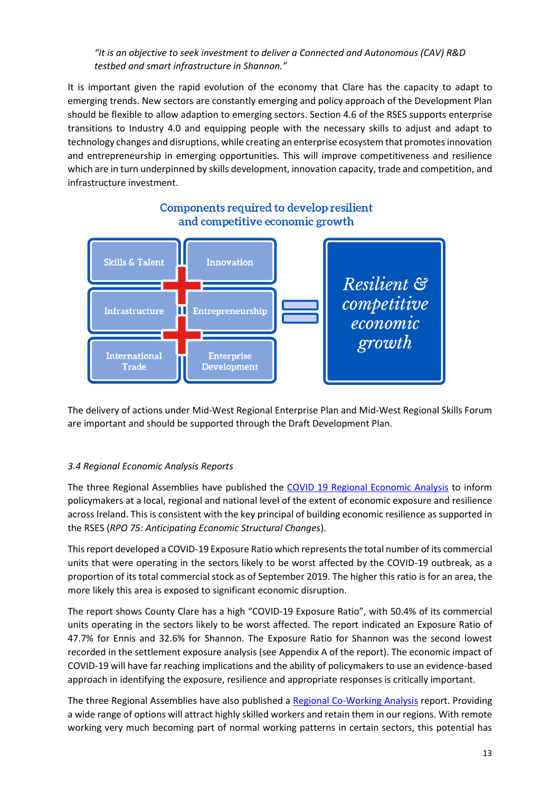*"It is an objective to seek investment to deliver a Connected and Autonomous (CAV) R&D testbed and smart infrastructure in Shannon."*

It is important given the rapid evolution of the economy that Clare has the capacity to adapt to emerging trends. New sectors are constantly emerging and policy approach of the Development Plan should be flexible to allow adaption to emerging sectors. Section 4.6 of the RSES supports enterprise transitions to Industry 4.0 and equipping people with the necessary skills to adjust and adapt to technology changes and disruptions, while creating an enterprise ecosystem that promotes innovation and entrepreneurship in emerging opportunities. This will improve competitiveness and resilience which are in turn underpinned by skills development, innovation capacity, trade and competition, and infrastructure investment.



# Components required to develop resilient and competitive economic growth

The delivery of actions under Mid-West Regional Enterprise Plan and Mid-West Regional Skills Forum are important and should be supported through the Draft Development Plan.

# *3.4 Regional Economic Analysis Reports*

The three Regional Assemblies have published the [COVID 19 Regional Economic Analysis](https://www.southernassembly.ie/uploads/general-files/CV19-Regional-Economic-Analysis.pdf) to inform policymakers at a local, regional and national level of the extent of economic exposure and resilience across Ireland. This is consistent with the key principal of building economic resilience as supported in the RSES (*RPO 75: Anticipating Economic Structural Changes*).

This report developed a COVID-19 Exposure Ratio which represents the total number of its commercial units that were operating in the sectors likely to be worst affected by the COVID-19 outbreak, as a proportion of its total commercial stock as of September 2019. The higher this ratio is for an area, the more likely this area is exposed to significant economic disruption.

The report shows County Clare has a high "COVID-19 Exposure Ratio", with 50.4% of its commercial units operating in the sectors likely to be worst affected. The report indicated an Exposure Ratio of 47.7% for Ennis and 32.6% for Shannon. The Exposure Ratio for Shannon was the second lowest recorded in the settlement exposure analysis (see Appendix A of the report). The economic impact of COVID-19 will have far reaching implications and the ability of policymakers to use an evidence-based approach in identifying the exposure, resilience and appropriate responses is critically important.

The three Regional Assemblies have also published a [Regional Co-Working Analysis](http://www.southernassembly.ie/news/news-article/regional-co-working-analysis) report. Providing a wide range of options will attract highly skilled workers and retain them in our regions. With remote working very much becoming part of normal working patterns in certain sectors, this potential has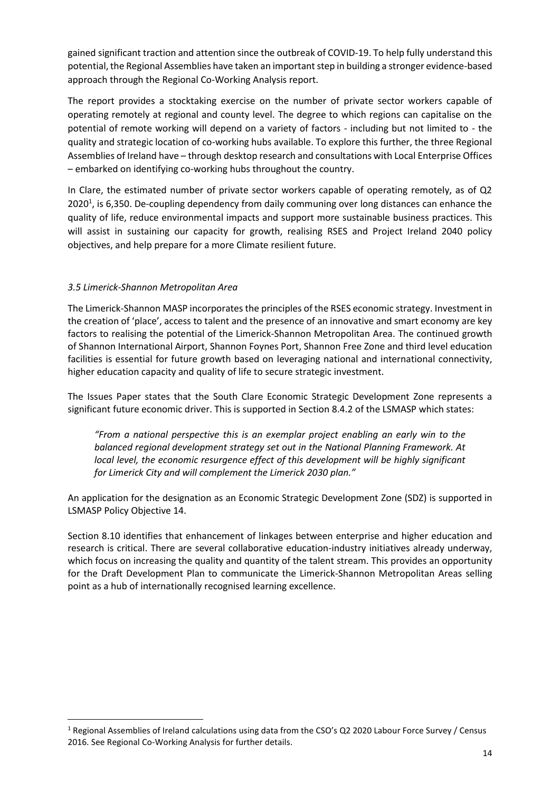gained significant traction and attention since the outbreak of COVID-19. To help fully understand this potential, the Regional Assemblies have taken an important step in building a stronger evidence-based approach through the Regional Co-Working Analysis report.

The report provides a stocktaking exercise on the number of private sector workers capable of operating remotely at regional and county level. The degree to which regions can capitalise on the potential of remote working will depend on a variety of factors - including but not limited to - the quality and strategic location of co-working hubs available. To explore this further, the three Regional Assemblies of Ireland have – through desktop research and consultations with Local Enterprise Offices – embarked on identifying co-working hubs throughout the country.

In Clare, the estimated number of private sector workers capable of operating remotely, as of Q2 2020<sup>1</sup>, is 6,350. De-coupling dependency from daily communing over long distances can enhance the quality of life, reduce environmental impacts and support more sustainable business practices. This will assist in sustaining our capacity for growth, realising RSES and Project Ireland 2040 policy objectives, and help prepare for a more Climate resilient future.

### *3.5 Limerick-Shannon Metropolitan Area*

The Limerick-Shannon MASP incorporates the principles of the RSES economic strategy. Investment in the creation of 'place', access to talent and the presence of an innovative and smart economy are key factors to realising the potential of the Limerick-Shannon Metropolitan Area. The continued growth of Shannon International Airport, Shannon Foynes Port, Shannon Free Zone and third level education facilities is essential for future growth based on leveraging national and international connectivity, higher education capacity and quality of life to secure strategic investment.

The Issues Paper states that the South Clare Economic Strategic Development Zone represents a significant future economic driver. This is supported in Section 8.4.2 of the LSMASP which states:

*"From a national perspective this is an exemplar project enabling an early win to the balanced regional development strategy set out in the National Planning Framework. At local level, the economic resurgence effect of this development will be highly significant for Limerick City and will complement the Limerick 2030 plan."*

An application for the designation as an Economic Strategic Development Zone (SDZ) is supported in LSMASP Policy Objective 14.

Section 8.10 identifies that enhancement of linkages between enterprise and higher education and research is critical. There are several collaborative education-industry initiatives already underway, which focus on increasing the quality and quantity of the talent stream. This provides an opportunity for the Draft Development Plan to communicate the Limerick-Shannon Metropolitan Areas selling point as a hub of internationally recognised learning excellence.

<sup>1</sup> Regional Assemblies of Ireland calculations using data from the CSO's Q2 2020 Labour Force Survey / Census 2016. See Regional Co-Working Analysis for further details.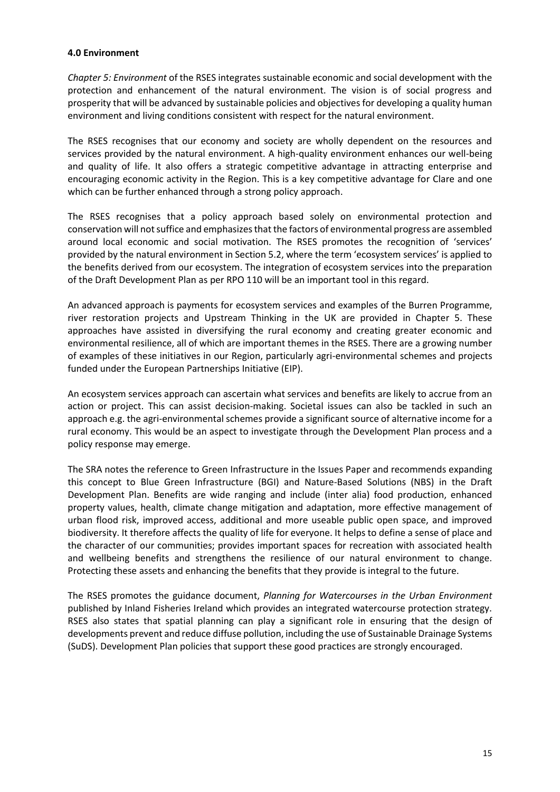#### **4.0 Environment**

*Chapter 5: Environment* of the RSES integrates sustainable economic and social development with the protection and enhancement of the natural environment. The vision is of social progress and prosperity that will be advanced by sustainable policies and objectives for developing a quality human environment and living conditions consistent with respect for the natural environment.

The RSES recognises that our economy and society are wholly dependent on the resources and services provided by the natural environment. A high-quality environment enhances our well-being and quality of life. It also offers a strategic competitive advantage in attracting enterprise and encouraging economic activity in the Region. This is a key competitive advantage for Clare and one which can be further enhanced through a strong policy approach.

The RSES recognises that a policy approach based solely on environmental protection and conservation will not suffice and emphasizes that the factors of environmental progress are assembled around local economic and social motivation. The RSES promotes the recognition of 'services' provided by the natural environment in Section 5.2, where the term 'ecosystem services' is applied to the benefits derived from our ecosystem. The integration of ecosystem services into the preparation of the Draft Development Plan as per RPO 110 will be an important tool in this regard.

An advanced approach is payments for ecosystem services and examples of the Burren Programme, river restoration projects and Upstream Thinking in the UK are provided in Chapter 5. These approaches have assisted in diversifying the rural economy and creating greater economic and environmental resilience, all of which are important themes in the RSES. There are a growing number of examples of these initiatives in our Region, particularly agri-environmental schemes and projects funded under the European Partnerships Initiative (EIP).

An ecosystem services approach can ascertain what services and benefits are likely to accrue from an action or project. This can assist decision-making. Societal issues can also be tackled in such an approach e.g. the agri-environmental schemes provide a significant source of alternative income for a rural economy. This would be an aspect to investigate through the Development Plan process and a policy response may emerge.

The SRA notes the reference to Green Infrastructure in the Issues Paper and recommends expanding this concept to Blue Green Infrastructure (BGI) and Nature-Based Solutions (NBS) in the Draft Development Plan. Benefits are wide ranging and include (inter alia) food production, enhanced property values, health, climate change mitigation and adaptation, more effective management of urban flood risk, improved access, additional and more useable public open space, and improved biodiversity. It therefore affects the quality of life for everyone. It helps to define a sense of place and the character of our communities; provides important spaces for recreation with associated health and wellbeing benefits and strengthens the resilience of our natural environment to change. Protecting these assets and enhancing the benefits that they provide is integral to the future.

The RSES promotes the guidance document, *Planning for Watercourses in the Urban Environment* published by Inland Fisheries Ireland which provides an integrated watercourse protection strategy. RSES also states that spatial planning can play a significant role in ensuring that the design of developments prevent and reduce diffuse pollution, including the use of Sustainable Drainage Systems (SuDS). Development Plan policies that support these good practices are strongly encouraged.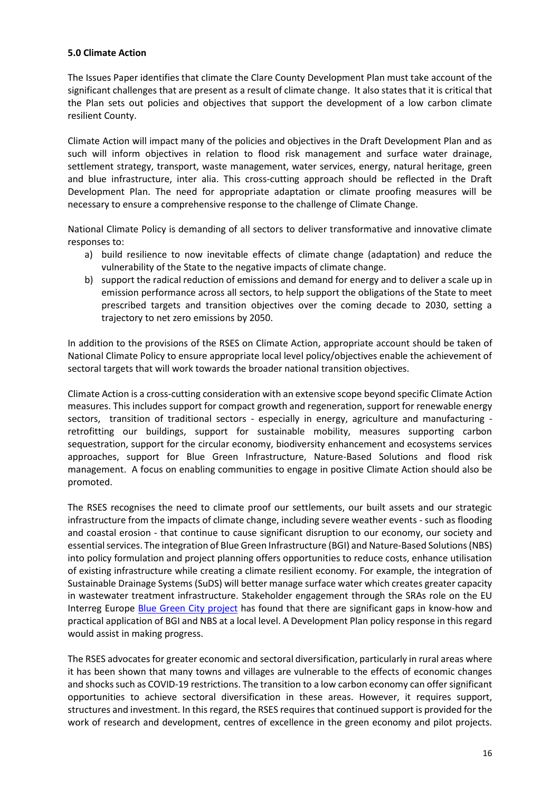#### **5.0 Climate Action**

The Issues Paper identifies that climate the Clare County Development Plan must take account of the significant challenges that are present as a result of climate change. It also states that it is critical that the Plan sets out policies and objectives that support the development of a low carbon climate resilient County.

Climate Action will impact many of the policies and objectives in the Draft Development Plan and as such will inform objectives in relation to flood risk management and surface water drainage, settlement strategy, transport, waste management, water services, energy, natural heritage, green and blue infrastructure, inter alia. This cross-cutting approach should be reflected in the Draft Development Plan. The need for appropriate adaptation or climate proofing measures will be necessary to ensure a comprehensive response to the challenge of Climate Change.

National Climate Policy is demanding of all sectors to deliver transformative and innovative climate responses to:

- a) build resilience to now inevitable effects of climate change (adaptation) and reduce the vulnerability of the State to the negative impacts of climate change.
- b) support the radical reduction of emissions and demand for energy and to deliver a scale up in emission performance across all sectors, to help support the obligations of the State to meet prescribed targets and transition objectives over the coming decade to 2030, setting a trajectory to net zero emissions by 2050.

In addition to the provisions of the RSES on Climate Action, appropriate account should be taken of National Climate Policy to ensure appropriate local level policy/objectives enable the achievement of sectoral targets that will work towards the broader national transition objectives.

Climate Action is a cross-cutting consideration with an extensive scope beyond specific Climate Action measures. This includes support for compact growth and regeneration, support for renewable energy sectors, transition of traditional sectors - especially in energy, agriculture and manufacturing retrofitting our buildings, support for sustainable mobility, measures supporting carbon sequestration, support for the circular economy, biodiversity enhancement and ecosystems services approaches, support for Blue Green Infrastructure, Nature-Based Solutions and flood risk management. A focus on enabling communities to engage in positive Climate Action should also be promoted.

The RSES recognises the need to climate proof our settlements, our built assets and our strategic infrastructure from the impacts of climate change, including severe weather events - such as flooding and coastal erosion - that continue to cause significant disruption to our economy, our society and essential services. The integration of Blue Green Infrastructure (BGI) and Nature-Based Solutions(NBS) into policy formulation and project planning offers opportunities to reduce costs, enhance utilisation of existing infrastructure while creating a climate resilient economy. For example, the integration of Sustainable Drainage Systems (SuDS) will better manage surface water which creates greater capacity in wastewater treatment infrastructure. Stakeholder engagement through the SRAs role on the EU Interreg Europe [Blue Green City project](https://www.interregeurope.eu/bluegreencity/) has found that there are significant gaps in know-how and practical application of BGI and NBS at a local level. A Development Plan policy response in this regard would assist in making progress.

The RSES advocates for greater economic and sectoral diversification, particularly in rural areas where it has been shown that many towns and villages are vulnerable to the effects of economic changes and shocks such as COVID-19 restrictions. The transition to a low carbon economy can offer significant opportunities to achieve sectoral diversification in these areas. However, it requires support, structures and investment. In this regard, the RSES requires that continued support is provided for the work of research and development, centres of excellence in the green economy and pilot projects.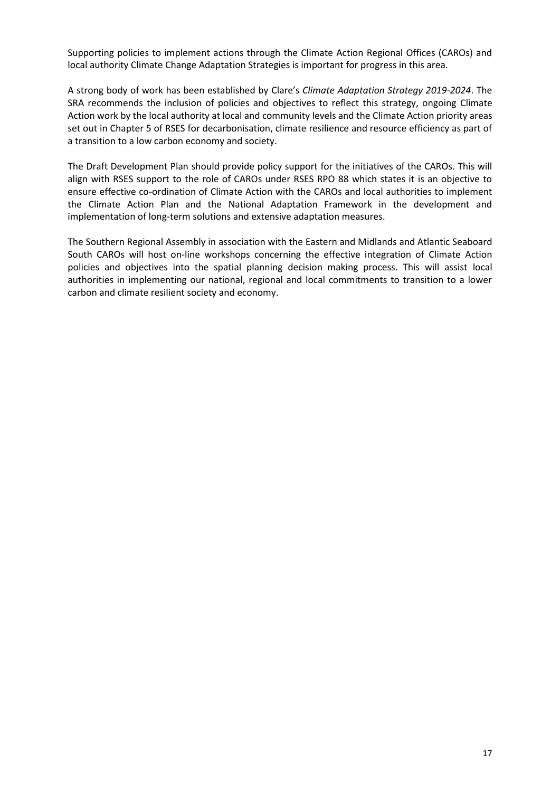Supporting policies to implement actions through the Climate Action Regional Offices (CAROs) and local authority Climate Change Adaptation Strategies is important for progress in this area.

A strong body of work has been established by Clare's *Climate Adaptation Strategy 2019-2024*. The SRA recommends the inclusion of policies and objectives to reflect this strategy, ongoing Climate Action work by the local authority at local and community levels and the Climate Action priority areas set out in Chapter 5 of RSES for decarbonisation, climate resilience and resource efficiency as part of a transition to a low carbon economy and society.

The Draft Development Plan should provide policy support for the initiatives of the CAROs. This will align with RSES support to the role of CAROs under RSES RPO 88 which states it is an objective to ensure effective co-ordination of Climate Action with the CAROs and local authorities to implement the Climate Action Plan and the National Adaptation Framework in the development and implementation of long-term solutions and extensive adaptation measures.

The Southern Regional Assembly in association with the Eastern and Midlands and Atlantic Seaboard South CAROs will host on-line workshops concerning the effective integration of Climate Action policies and objectives into the spatial planning decision making process. This will assist local authorities in implementing our national, regional and local commitments to transition to a lower carbon and climate resilient society and economy.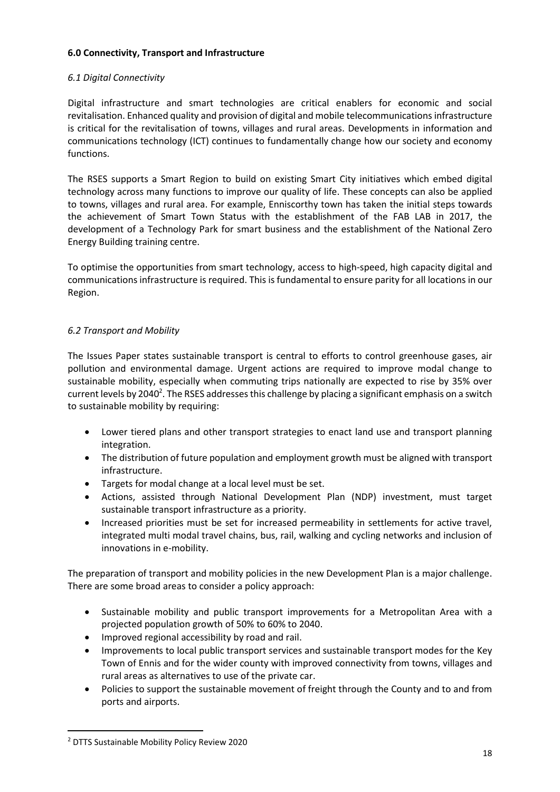#### **6.0 Connectivity, Transport and Infrastructure**

## *6.1 Digital Connectivity*

Digital infrastructure and smart technologies are critical enablers for economic and social revitalisation. Enhanced quality and provision of digital and mobile telecommunications infrastructure is critical for the revitalisation of towns, villages and rural areas. Developments in information and communications technology (ICT) continues to fundamentally change how our society and economy functions.

The RSES supports a Smart Region to build on existing Smart City initiatives which embed digital technology across many functions to improve our quality of life. These concepts can also be applied to towns, villages and rural area. For example, Enniscorthy town has taken the initial steps towards the achievement of Smart Town Status with the establishment of the FAB LAB in 2017, the development of a Technology Park for smart business and the establishment of the National Zero Energy Building training centre.

To optimise the opportunities from smart technology, access to high-speed, high capacity digital and communications infrastructure is required. This is fundamental to ensure parity for all locations in our Region.

### *6.2 Transport and Mobility*

The Issues Paper states sustainable transport is central to efforts to control greenhouse gases, air pollution and environmental damage. Urgent actions are required to improve modal change to sustainable mobility, especially when commuting trips nationally are expected to rise by 35% over current levels by 2040<sup>2</sup>. The RSES addresses this challenge by placing a significant emphasis on a switch to sustainable mobility by requiring:

- Lower tiered plans and other transport strategies to enact land use and transport planning integration.
- The distribution of future population and employment growth must be aligned with transport infrastructure.
- Targets for modal change at a local level must be set.
- Actions, assisted through National Development Plan (NDP) investment, must target sustainable transport infrastructure as a priority.
- Increased priorities must be set for increased permeability in settlements for active travel, integrated multi modal travel chains, bus, rail, walking and cycling networks and inclusion of innovations in e-mobility.

The preparation of transport and mobility policies in the new Development Plan is a major challenge. There are some broad areas to consider a policy approach:

- Sustainable mobility and public transport improvements for a Metropolitan Area with a projected population growth of 50% to 60% to 2040.
- Improved regional accessibility by road and rail.
- Improvements to local public transport services and sustainable transport modes for the Key Town of Ennis and for the wider county with improved connectivity from towns, villages and rural areas as alternatives to use of the private car.
- Policies to support the sustainable movement of freight through the County and to and from ports and airports.

<sup>2</sup> DTTS Sustainable Mobility Policy Review 2020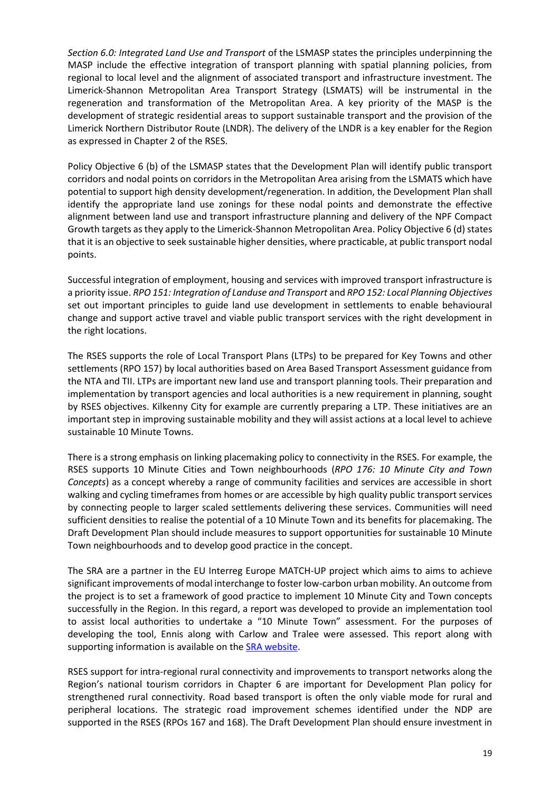*Section 6.0: Integrated Land Use and Transport* of the LSMASP states the principles underpinning the MASP include the effective integration of transport planning with spatial planning policies, from regional to local level and the alignment of associated transport and infrastructure investment. The Limerick-Shannon Metropolitan Area Transport Strategy (LSMATS) will be instrumental in the regeneration and transformation of the Metropolitan Area. A key priority of the MASP is the development of strategic residential areas to support sustainable transport and the provision of the Limerick Northern Distributor Route (LNDR). The delivery of the LNDR is a key enabler for the Region as expressed in Chapter 2 of the RSES.

Policy Objective 6 (b) of the LSMASP states that the Development Plan will identify public transport corridors and nodal points on corridors in the Metropolitan Area arising from the LSMATS which have potential to support high density development/regeneration. In addition, the Development Plan shall identify the appropriate land use zonings for these nodal points and demonstrate the effective alignment between land use and transport infrastructure planning and delivery of the NPF Compact Growth targets as they apply to the Limerick-Shannon Metropolitan Area. Policy Objective 6 (d) states that it is an objective to seek sustainable higher densities, where practicable, at public transport nodal points.

Successful integration of employment, housing and services with improved transport infrastructure is a priority issue. *RPO 151: Integration of Landuse and Transport* and *RPO 152: Local Planning Objectives* set out important principles to guide land use development in settlements to enable behavioural change and support active travel and viable public transport services with the right development in the right locations.

The RSES supports the role of Local Transport Plans (LTPs) to be prepared for Key Towns and other settlements (RPO 157) by local authorities based on Area Based Transport Assessment guidance from the NTA and TII. LTPs are important new land use and transport planning tools. Their preparation and implementation by transport agencies and local authorities is a new requirement in planning, sought by RSES objectives. Kilkenny City for example are currently preparing a LTP. These initiatives are an important step in improving sustainable mobility and they will assist actions at a local level to achieve sustainable 10 Minute Towns.

There is a strong emphasis on linking placemaking policy to connectivity in the RSES. For example, the RSES supports 10 Minute Cities and Town neighbourhoods (*RPO 176: 10 Minute City and Town Concepts*) as a concept whereby a range of community facilities and services are accessible in short walking and cycling timeframes from homes or are accessible by high quality public transport services by connecting people to larger scaled settlements delivering these services. Communities will need sufficient densities to realise the potential of a 10 Minute Town and its benefits for placemaking. The Draft Development Plan should include measures to support opportunities for sustainable 10 Minute Town neighbourhoods and to develop good practice in the concept.

The SRA are a partner in the EU Interreg Europe MATCH-UP project which aims to aims to achieve significant improvements of modal interchange to foster low-carbon urban mobility. An outcome from the project is to set a framework of good practice to implement 10 Minute City and Town concepts successfully in the Region. In this regard, a report was developed to provide an implementation tool to assist local authorities to undertake a "10 Minute Town" assessment. For the purposes of developing the tool, Ennis along with Carlow and Tralee were assessed. This report along with supporting information is available on the **SRA website**.

RSES support for intra-regional rural connectivity and improvements to transport networks along the Region's national tourism corridors in Chapter 6 are important for Development Plan policy for strengthened rural connectivity. Road based transport is often the only viable mode for rural and peripheral locations. The strategic road improvement schemes identified under the NDP are supported in the RSES (RPOs 167 and 168). The Draft Development Plan should ensure investment in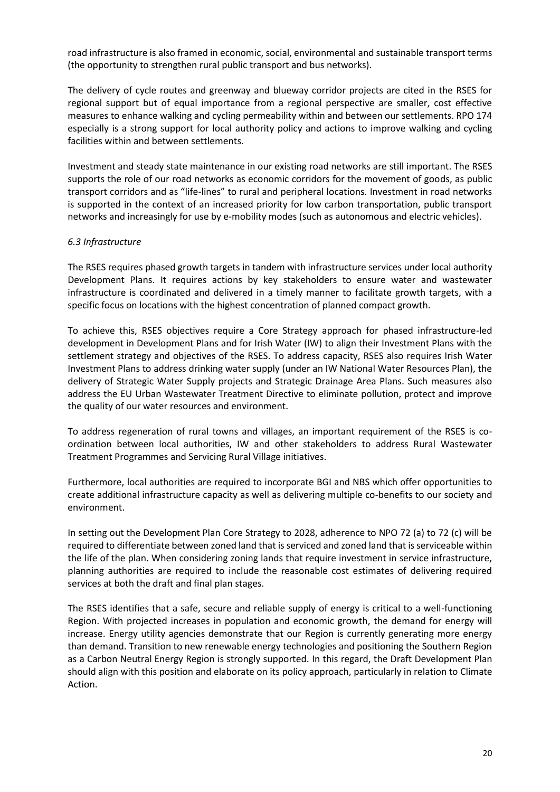road infrastructure is also framed in economic, social, environmental and sustainable transport terms (the opportunity to strengthen rural public transport and bus networks).

The delivery of cycle routes and greenway and blueway corridor projects are cited in the RSES for regional support but of equal importance from a regional perspective are smaller, cost effective measures to enhance walking and cycling permeability within and between our settlements. RPO 174 especially is a strong support for local authority policy and actions to improve walking and cycling facilities within and between settlements.

Investment and steady state maintenance in our existing road networks are still important. The RSES supports the role of our road networks as economic corridors for the movement of goods, as public transport corridors and as "life-lines" to rural and peripheral locations. Investment in road networks is supported in the context of an increased priority for low carbon transportation, public transport networks and increasingly for use by e-mobility modes (such as autonomous and electric vehicles).

#### *6.3 Infrastructure*

The RSES requires phased growth targets in tandem with infrastructure services under local authority Development Plans. It requires actions by key stakeholders to ensure water and wastewater infrastructure is coordinated and delivered in a timely manner to facilitate growth targets, with a specific focus on locations with the highest concentration of planned compact growth.

To achieve this, RSES objectives require a Core Strategy approach for phased infrastructure-led development in Development Plans and for Irish Water (IW) to align their Investment Plans with the settlement strategy and objectives of the RSES. To address capacity, RSES also requires Irish Water Investment Plans to address drinking water supply (under an IW National Water Resources Plan), the delivery of Strategic Water Supply projects and Strategic Drainage Area Plans. Such measures also address the EU Urban Wastewater Treatment Directive to eliminate pollution, protect and improve the quality of our water resources and environment.

To address regeneration of rural towns and villages, an important requirement of the RSES is coordination between local authorities, IW and other stakeholders to address Rural Wastewater Treatment Programmes and Servicing Rural Village initiatives.

Furthermore, local authorities are required to incorporate BGI and NBS which offer opportunities to create additional infrastructure capacity as well as delivering multiple co-benefits to our society and environment.

In setting out the Development Plan Core Strategy to 2028, adherence to NPO 72 (a) to 72 (c) will be required to differentiate between zoned land that is serviced and zoned land that is serviceable within the life of the plan. When considering zoning lands that require investment in service infrastructure, planning authorities are required to include the reasonable cost estimates of delivering required services at both the draft and final plan stages.

The RSES identifies that a safe, secure and reliable supply of energy is critical to a well-functioning Region. With projected increases in population and economic growth, the demand for energy will increase. Energy utility agencies demonstrate that our Region is currently generating more energy than demand. Transition to new renewable energy technologies and positioning the Southern Region as a Carbon Neutral Energy Region is strongly supported. In this regard, the Draft Development Plan should align with this position and elaborate on its policy approach, particularly in relation to Climate Action.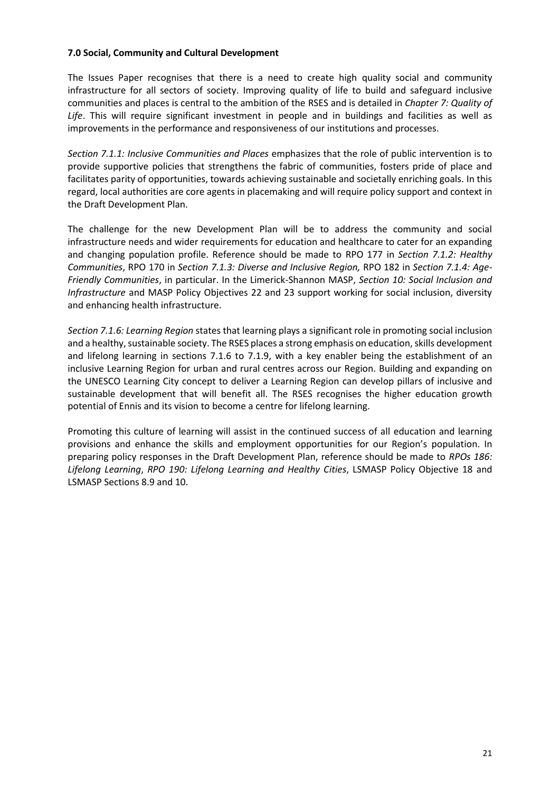#### **7.0 Social, Community and Cultural Development**

The Issues Paper recognises that there is a need to create high quality social and community infrastructure for all sectors of society. Improving quality of life to build and safeguard inclusive communities and places is central to the ambition of the RSES and is detailed in *Chapter 7: Quality of Life*. This will require significant investment in people and in buildings and facilities as well as improvements in the performance and responsiveness of our institutions and processes.

*Section 7.1.1: Inclusive Communities and Places* emphasizes that the role of public intervention is to provide supportive policies that strengthens the fabric of communities, fosters pride of place and facilitates parity of opportunities, towards achieving sustainable and societally enriching goals. In this regard, local authorities are core agents in placemaking and will require policy support and context in the Draft Development Plan.

The challenge for the new Development Plan will be to address the community and social infrastructure needs and wider requirements for education and healthcare to cater for an expanding and changing population profile. Reference should be made to RPO 177 in *Section 7.1.2: Healthy Communities*, RPO 170 in *Section 7.1.3: Diverse and Inclusive Region,* RPO 182 in *Section 7.1.4: Age-Friendly Communities*, in particular. In the Limerick-Shannon MASP, *Section 10: Social Inclusion and Infrastructure* and MASP Policy Objectives 22 and 23 support working for social inclusion, diversity and enhancing health infrastructure.

*Section 7.1.6: Learning Region* states that learning plays a significant role in promoting social inclusion and a healthy, sustainable society. The RSES places a strong emphasis on education, skills development and lifelong learning in sections 7.1.6 to 7.1.9, with a key enabler being the establishment of an inclusive Learning Region for urban and rural centres across our Region. Building and expanding on the UNESCO Learning City concept to deliver a Learning Region can develop pillars of inclusive and sustainable development that will benefit all. The RSES recognises the higher education growth potential of Ennis and its vision to become a centre for lifelong learning.

Promoting this culture of learning will assist in the continued success of all education and learning provisions and enhance the skills and employment opportunities for our Region's population. In preparing policy responses in the Draft Development Plan, reference should be made to *RPOs 186: Lifelong Learning*, *RPO 190: Lifelong Learning and Healthy Cities*, LSMASP Policy Objective 18 and LSMASP Sections 8.9 and 10.